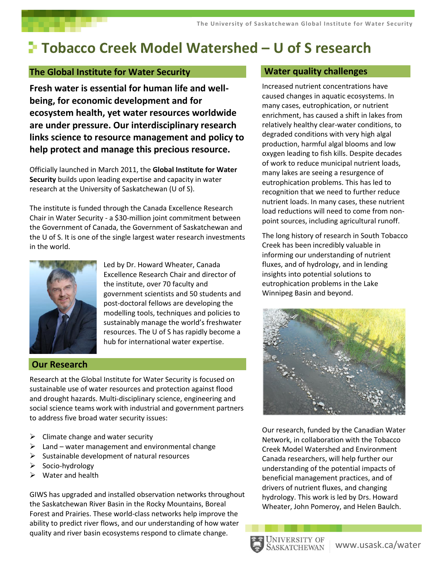# **Tobacco Creek Model Watershed – U of S research**

## **The Global Institute for Water Security**

**Fresh water is essential for human life and wellbeing, for economic development and for ecosystem health, yet water resources worldwide are under pressure. Our interdisciplinary research links science to resource management and policy to help protect and manage this precious resource.** 

Officially launched in March 2011, the **Global Institute for Water Security** builds upon leading expertise and capacity in water research at the University of Saskatchewan (U of S).

The institute is funded through the Canada Excellence Research Chair in Water Security - a \$30-million joint commitment between the Government of Canada, the Government of Saskatchewan and the U of S. It is one of the single largest water research investments in the world.



Led by Dr. Howard Wheater, Canada Excellence Research Chair and director of the institute, over 70 faculty and government scientists and 50 students and post-doctoral fellows are developing the modelling tools, techniques and policies to sustainably manage the world's freshwater resources. The U of S has rapidly become a hub for international water expertise.

## **Our Research**

Research at the Global Institute for Water Security is focused on sustainable use of water resources and protection against flood and drought hazards. Multi-disciplinary science, engineering and social science teams work with industrial and government partners to address five broad water security issues:

- $\triangleright$  Climate change and water security
- $\triangleright$  Land water management and environmental change
- $\triangleright$  Sustainable development of natural resources
- $\triangleright$  Socio-hydrology
- $\triangleright$  Water and health

GIWS has upgraded and installed observation networks throughout the Saskatchewan River Basin in the Rocky Mountains, Boreal Forest and Prairies. These world-class networks help improve the ability to predict river flows, and our understanding of how water quality and river basin ecosystems respond to climate change.

## **Water quality challenges**

Increased nutrient concentrations have caused changes in aquatic ecosystems. In many cases, eutrophication, or nutrient enrichment, has caused a shift in lakes from relatively healthy clear-water conditions, to degraded conditions with very high algal production, harmful algal blooms and low oxygen leading to fish kills. Despite decades of work to reduce municipal nutrient loads, many lakes are seeing a resurgence of eutrophication problems. This has led to recognition that we need to further reduce nutrient loads. In many cases, these nutrient load reductions will need to come from nonpoint sources, including agricultural runoff.

The long history of research in South Tobacco Creek has been incredibly valuable in informing our understanding of nutrient fluxes, and of hydrology, and in lending insights into potential solutions to eutrophication problems in the Lake Winnipeg Basin and beyond.



Our research, funded by the Canadian Water Network, in collaboration with the Tobacco Creek Model Watershed and Environment Canada researchers, will help further our understanding of the potential impacts of beneficial management practices, and of drivers of nutrient fluxes, and changing hydrology. This work is led by Drs. Howard Wheater, John Pomeroy, and Helen Baulch.